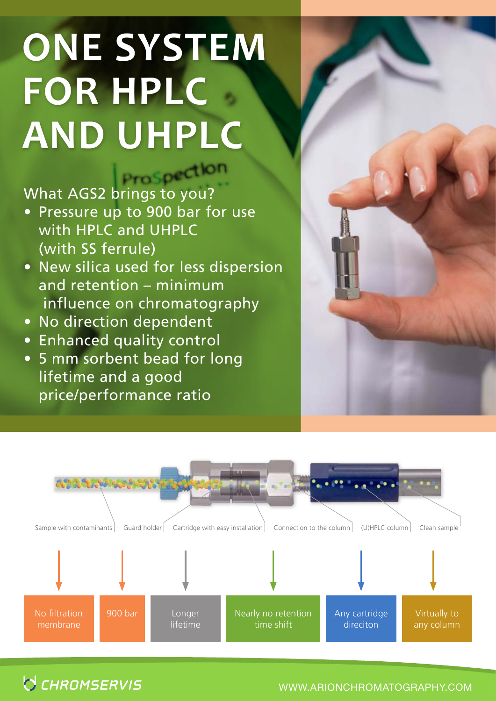## **ONE SYSTEM FOR HPLC AND UHPLC**

What AGS2 brings to you?

- Pressure up to 900 bar for use with HPLC and UHPLC (with SS ferrule)
- New silica used for less dispersion and retention – minimum influence on chromatography
- No direction dependent
- Enhanced quality control
- 5 mm sorbent bead for long lifetime and a good price/performance ratio





**O CHROMSERVIS** 

www.arionchromatography.com